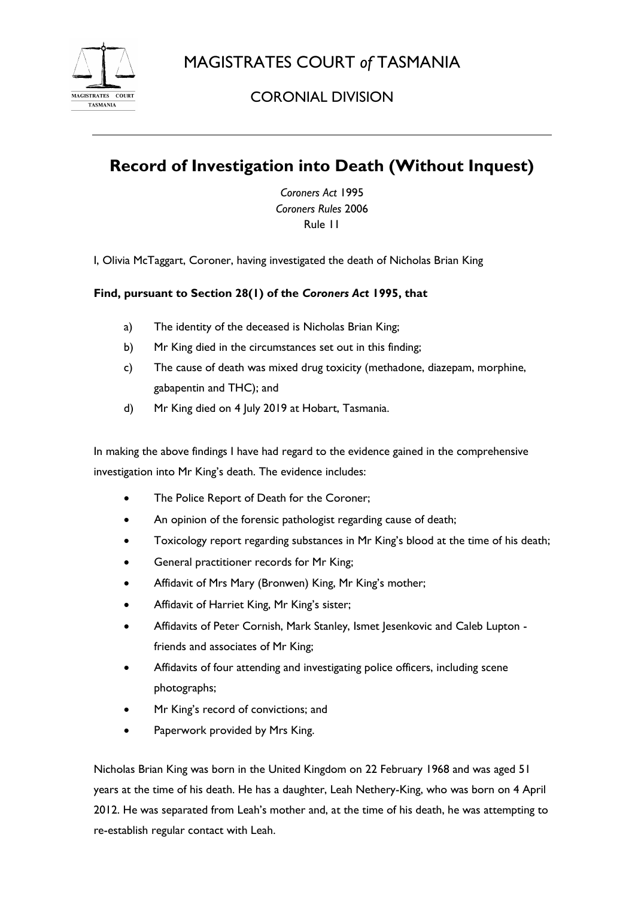

CORONIAL DIVISION

## **Record of Investigation into Death (Without Inquest)**

*Coroners Act* 1995 *Coroners Rules* 2006 Rule 11

I, Olivia McTaggart, Coroner, having investigated the death of Nicholas Brian King

## **Find, pursuant to Section 28(1) of the** *Coroners Act* **1995, that**

- a) The identity of the deceased is Nicholas Brian King;
- b) Mr King died in the circumstances set out in this finding;
- c) The cause of death was mixed drug toxicity (methadone, diazepam, morphine, gabapentin and THC); and
- d) Mr King died on 4 July 2019 at Hobart, Tasmania.

In making the above findings I have had regard to the evidence gained in the comprehensive investigation into Mr King's death. The evidence includes:

- The Police Report of Death for the Coroner;
- An opinion of the forensic pathologist regarding cause of death;
- Toxicology report regarding substances in Mr King's blood at the time of his death;
- General practitioner records for Mr King;
- Affidavit of Mrs Mary (Bronwen) King, Mr King's mother;
- Affidavit of Harriet King, Mr King's sister;
- Affidavits of Peter Cornish, Mark Stanley, Ismet Jesenkovic and Caleb Lupton friends and associates of Mr King;
- Affidavits of four attending and investigating police officers, including scene photographs;
- Mr King's record of convictions; and
- Paperwork provided by Mrs King.

Nicholas Brian King was born in the United Kingdom on 22 February 1968 and was aged 51 years at the time of his death. He has a daughter, Leah Nethery-King, who was born on 4 April 2012. He was separated from Leah's mother and, at the time of his death, he was attempting to re-establish regular contact with Leah.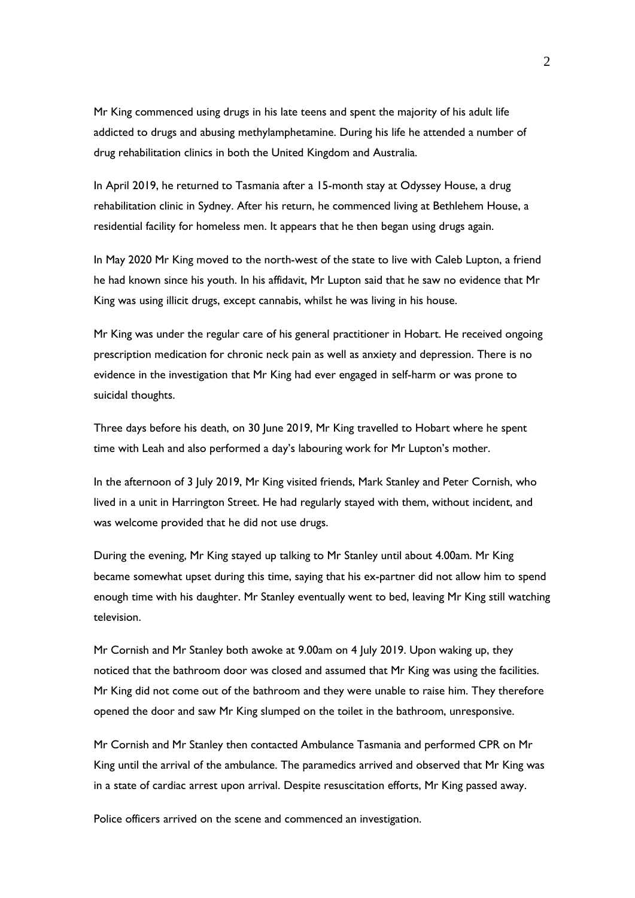Mr King commenced using drugs in his late teens and spent the majority of his adult life addicted to drugs and abusing methylamphetamine. During his life he attended a number of drug rehabilitation clinics in both the United Kingdom and Australia.

In April 2019, he returned to Tasmania after a 15-month stay at Odyssey House, a drug rehabilitation clinic in Sydney. After his return, he commenced living at Bethlehem House, a residential facility for homeless men. It appears that he then began using drugs again.

In May 2020 Mr King moved to the north-west of the state to live with Caleb Lupton, a friend he had known since his youth. In his affidavit, Mr Lupton said that he saw no evidence that Mr King was using illicit drugs, except cannabis, whilst he was living in his house.

Mr King was under the regular care of his general practitioner in Hobart. He received ongoing prescription medication for chronic neck pain as well as anxiety and depression. There is no evidence in the investigation that Mr King had ever engaged in self-harm or was prone to suicidal thoughts.

Three days before his death, on 30 June 2019, Mr King travelled to Hobart where he spent time with Leah and also performed a day's labouring work for Mr Lupton's mother.

In the afternoon of 3 July 2019, Mr King visited friends, Mark Stanley and Peter Cornish, who lived in a unit in Harrington Street. He had regularly stayed with them, without incident, and was welcome provided that he did not use drugs.

During the evening, Mr King stayed up talking to Mr Stanley until about 4.00am. Mr King became somewhat upset during this time, saying that his ex-partner did not allow him to spend enough time with his daughter. Mr Stanley eventually went to bed, leaving Mr King still watching television.

Mr Cornish and Mr Stanley both awoke at 9.00am on 4 July 2019. Upon waking up, they noticed that the bathroom door was closed and assumed that Mr King was using the facilities. Mr King did not come out of the bathroom and they were unable to raise him. They therefore opened the door and saw Mr King slumped on the toilet in the bathroom, unresponsive.

Mr Cornish and Mr Stanley then contacted Ambulance Tasmania and performed CPR on Mr King until the arrival of the ambulance. The paramedics arrived and observed that Mr King was in a state of cardiac arrest upon arrival. Despite resuscitation efforts, Mr King passed away.

Police officers arrived on the scene and commenced an investigation.